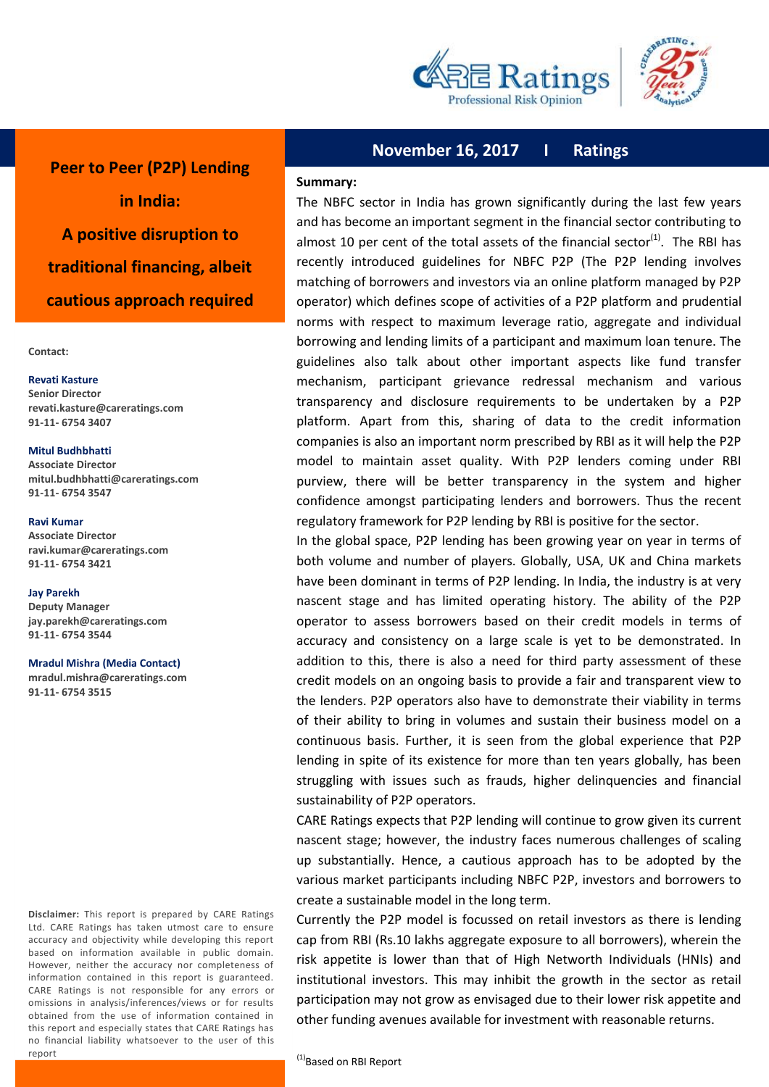



**Peer to Peer (P2P) Lending in India: A positive disruption to traditional financing, albeit cautious approach required**

**Contact:**

#### **Revati Kasture Senior Director**

**revati.kasture@careratings.com 91-11- 6754 3407**

#### **Mitul Budhbhatti**

**Associate Director mitul.budhbhatti@careratings.com 91-11- 6754 3547**

#### **Ravi Kumar**

**Associate Director ravi.kumar@careratings.com 91-11- 6754 3421**

#### **Jay Parekh**

i

**Deputy Manager jay.parekh@careratings.com 91-11- 6754 3544**

#### **Mradul Mishra (Media Contact)**

**mradul.mishra@careratings.com 91-11- 6754 3515**

 no financial liability whatsoever to the user of this report **Disclaimer:** This report is prepared by CARE Ratings Ltd. CARE Ratings has taken utmost care to ensure accuracy and objectivity while developing this report based on information available in public domain. However, neither the accuracy nor completeness of information contained in this report is guaranteed. CARE Ratings is not responsible for any errors or omissions in analysis/inferences/views or for results obtained from the use of information contained in this report and especially states that CARE Ratings has

# **November 16, 2017 I Ratings**

### **Summary:**

The NBFC sector in India has grown significantly during the last few years and has become an important segment in the financial sector contributing to almost 10 per cent of the total assets of the financial sector<sup>(1)</sup>. The RBI has recently introduced guidelines for NBFC P2P (The P2P lending involves matching of borrowers and investors via an online platform managed by P2P operator) which defines scope of activities of a P2P platform and prudential norms with respect to maximum leverage ratio, aggregate and individual borrowing and lending limits of a participant and maximum loan tenure. The guidelines also talk about other important aspects like fund transfer mechanism, participant grievance redressal mechanism and various transparency and disclosure requirements to be undertaken by a P2P platform. Apart from this, sharing of data to the credit information companies is also an important norm prescribed by RBI as it will help the P2P model to maintain asset quality. With P2P lenders coming under RBI purview, there will be better transparency in the system and higher confidence amongst participating lenders and borrowers. Thus the recent regulatory framework for P2P lending by RBI is positive for the sector.

In the global space, P2P lending has been growing year on year in terms of both volume and number of players. Globally, USA, UK and China markets have been dominant in terms of P2P lending. In India, the industry is at very nascent stage and has limited operating history. The ability of the P2P operator to assess borrowers based on their credit models in terms of accuracy and consistency on a large scale is yet to be demonstrated. In addition to this, there is also a need for third party assessment of these credit models on an ongoing basis to provide a fair and transparent view to the lenders. P2P operators also have to demonstrate their viability in terms of their ability to bring in volumes and sustain their business model on a continuous basis. Further, it is seen from the global experience that P2P lending in spite of its existence for more than ten years globally, has been struggling with issues such as frauds, higher delinquencies and financial sustainability of P2P operators.

CARE Ratings expects that P2P lending will continue to grow given its current nascent stage; however, the industry faces numerous challenges of scaling up substantially. Hence, a cautious approach has to be adopted by the various market participants including NBFC P2P, investors and borrowers to create a sustainable model in the long term.

Currently the P2P model is focussed on retail investors as there is lending cap from RBI (Rs.10 lakhs aggregate exposure to all borrowers), wherein the risk appetite is lower than that of High Networth Individuals (HNIs) and institutional investors. This may inhibit the growth in the sector as retail participation may not grow as envisaged due to their lower risk appetite and other funding avenues available for investment with reasonable returns.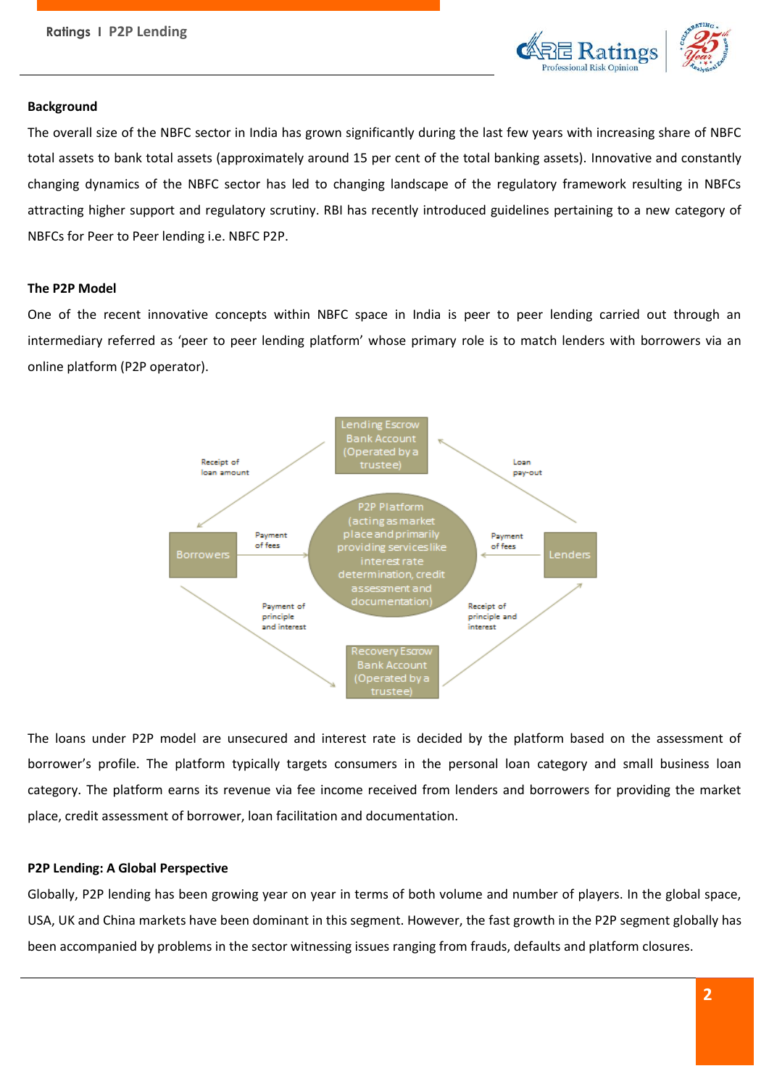**Ratings I P2P Lending**



### **Background**

The overall size of the NBFC sector in India has grown significantly during the last few years with increasing share of NBFC total assets to bank total assets (approximately around 15 per cent of the total banking assets). Innovative and constantly changing dynamics of the NBFC sector has led to changing landscape of the regulatory framework resulting in NBFCs attracting higher support and regulatory scrutiny. RBI has recently introduced guidelines pertaining to a new category of NBFCs for Peer to Peer lending i.e. NBFC P2P.

### **The P2P Model**

One of the recent innovative concepts within NBFC space in India is peer to peer lending carried out through an intermediary referred as 'peer to peer lending platform' whose primary role is to match lenders with borrowers via an online platform (P2P operator).



The loans under P2P model are unsecured and interest rate is decided by the platform based on the assessment of borrower's profile. The platform typically targets consumers in the personal loan category and small business loan category. The platform earns its revenue via fee income received from lenders and borrowers for providing the market place, credit assessment of borrower, loan facilitation and documentation.

### **P2P Lending: A Global Perspective**

Globally, P2P lending has been growing year on year in terms of both volume and number of players. In the global space, USA, UK and China markets have been dominant in this segment. However, the fast growth in the P2P segment globally has been accompanied by problems in the sector witnessing issues ranging from frauds, defaults and platform closures.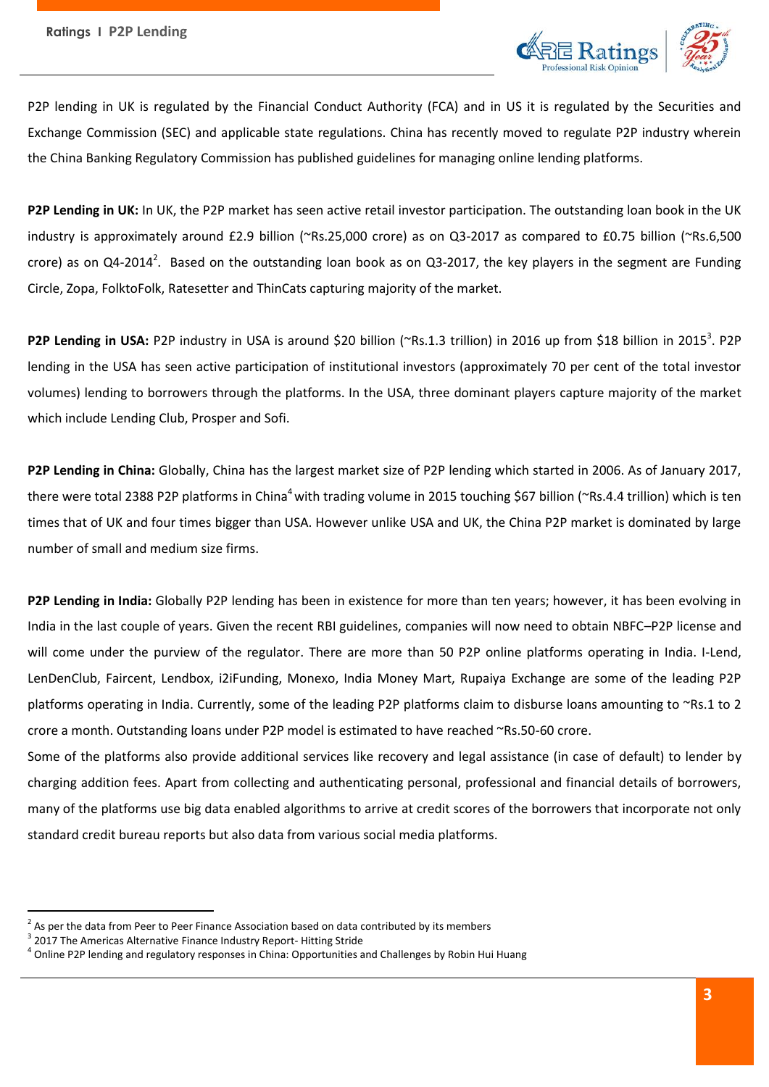

P2P lending in UK is regulated by the Financial Conduct Authority (FCA) and in US it is regulated by the Securities and Exchange Commission (SEC) and applicable state regulations. China has recently moved to regulate P2P industry wherein the China Banking Regulatory Commission has published guidelines for managing online lending platforms.

**P2P Lending in UK:** In UK, the P2P market has seen active retail investor participation. The outstanding loan book in the UK industry is approximately around £2.9 billion (~Rs.25,000 crore) as on Q3-2017 as compared to £0.75 billion (~Rs.6,500 crore) as on Q4-2014<sup>2</sup>. Based on the outstanding loan book as on Q3-2017, the key players in the segment are Funding Circle, Zopa, FolktoFolk, Ratesetter and ThinCats capturing majority of the market.

P2P Lending in USA: P2P industry in USA is around \$20 billion (~Rs.1.3 trillion) in 2016 up from \$18 billion in 2015<sup>3</sup>. P2P lending in the USA has seen active participation of institutional investors (approximately 70 per cent of the total investor volumes) lending to borrowers through the platforms. In the USA, three dominant players capture majority of the market which include Lending Club, Prosper and Sofi.

**P2P Lending in China:** Globally, China has the largest market size of P2P lending which started in 2006. As of January 2017, there were total 2388 P2P platforms in China<sup>4</sup> with trading volume in 2015 touching \$67 billion (~Rs.4.4 trillion) which is ten times that of UK and four times bigger than USA. However unlike USA and UK, the China P2P market is dominated by large number of small and medium size firms.

**P2P Lending in India:** Globally P2P lending has been in existence for more than ten years; however, it has been evolving in India in the last couple of years. Given the recent RBI guidelines, companies will now need to obtain NBFC–P2P license and will come under the purview of the regulator. There are more than 50 P2P online platforms operating in India. I-Lend, LenDenClub, Faircent, Lendbox, i2iFunding, Monexo, India Money Mart, Rupaiya Exchange are some of the leading P2P platforms operating in India. Currently, some of the leading P2P platforms claim to disburse loans amounting to ~Rs.1 to 2 crore a month. Outstanding loans under P2P model is estimated to have reached ~Rs.50-60 crore.

Some of the platforms also provide additional services like recovery and legal assistance (in case of default) to lender by charging addition fees. Apart from collecting and authenticating personal, professional and financial details of borrowers, many of the platforms use big data enabled algorithms to arrive at credit scores of the borrowers that incorporate not only standard credit bureau reports but also data from various social media platforms.

 $^{2}$  As per the data from Peer to Peer Finance Association based on data contributed by its members

<sup>&</sup>lt;sup>3</sup> 2017 The Americas Alternative Finance Industry Report- Hitting Stride

<sup>&</sup>lt;sup>4</sup> Online P2P lending and regulatory responses in China: Opportunities and Challenges by Robin Hui Huang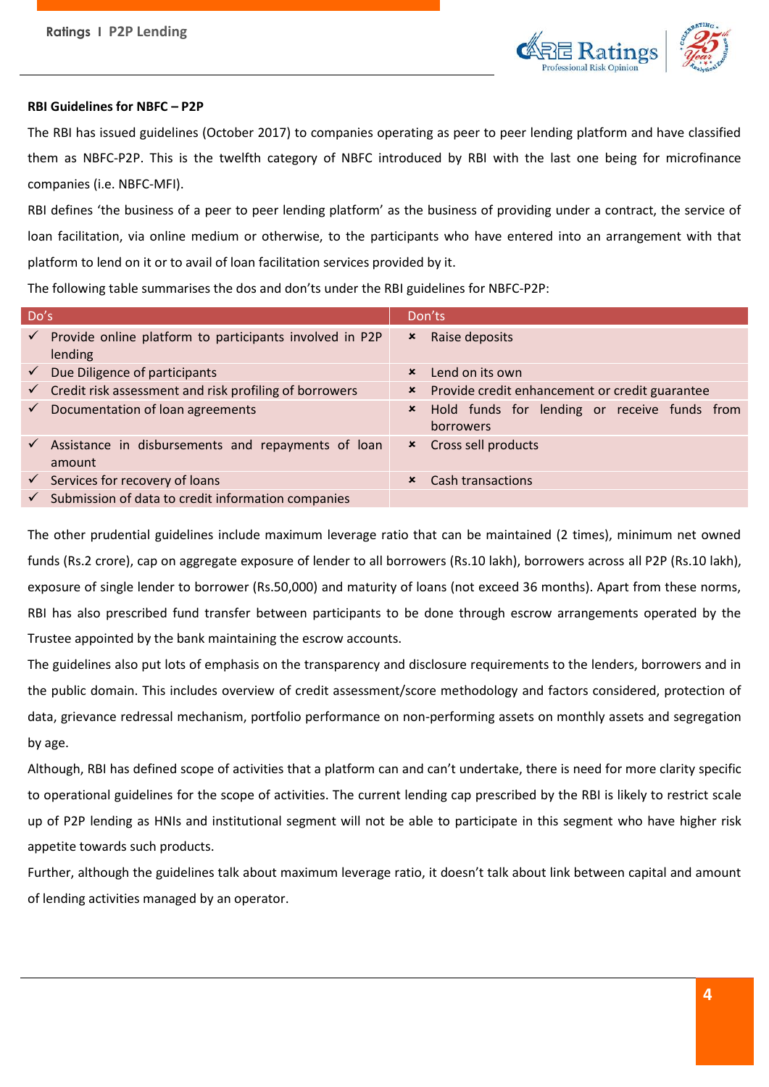

# **RBI Guidelines for NBFC – P2P**

The RBI has issued guidelines (October 2017) to companies operating as peer to peer lending platform and have classified them as NBFC-P2P. This is the twelfth category of NBFC introduced by RBI with the last one being for microfinance companies (i.e. NBFC-MFI).

RBI defines 'the business of a peer to peer lending platform' as the business of providing under a contract, the service of loan facilitation, via online medium or otherwise, to the participants who have entered into an arrangement with that platform to lend on it or to avail of loan facilitation services provided by it.

The following table summarises the dos and don'ts under the RBI guidelines for NBFC-P2P:

| Do's         |                                                                     |                           | Don'ts                                                    |
|--------------|---------------------------------------------------------------------|---------------------------|-----------------------------------------------------------|
| $\checkmark$ | Provide online platform to participants involved in P2P<br>lending  | ×                         | Raise deposits                                            |
| $\checkmark$ | Due Diligence of participants                                       | $\boldsymbol{\mathsf{x}}$ | Lend on its own                                           |
|              | $\checkmark$ Credit risk assessment and risk profiling of borrowers | ×                         | Provide credit enhancement or credit guarantee            |
| $\checkmark$ | Documentation of loan agreements                                    | $\boldsymbol{\mathsf{x}}$ | Hold funds for lending or receive funds from<br>borrowers |
| $\checkmark$ | Assistance in disbursements and repayments of loan<br>amount        | $\boldsymbol{\mathsf{x}}$ | Cross sell products                                       |
|              | $\checkmark$ Services for recovery of loans                         | ×                         | Cash transactions                                         |
|              | Submission of data to credit information companies                  |                           |                                                           |

The other prudential guidelines include maximum leverage ratio that can be maintained (2 times), minimum net owned funds (Rs.2 crore), cap on aggregate exposure of lender to all borrowers (Rs.10 lakh), borrowers across all P2P (Rs.10 lakh), exposure of single lender to borrower (Rs.50,000) and maturity of loans (not exceed 36 months). Apart from these norms, RBI has also prescribed fund transfer between participants to be done through escrow arrangements operated by the Trustee appointed by the bank maintaining the escrow accounts.

The guidelines also put lots of emphasis on the transparency and disclosure requirements to the lenders, borrowers and in the public domain. This includes overview of credit assessment/score methodology and factors considered, protection of data, grievance redressal mechanism, portfolio performance on non-performing assets on monthly assets and segregation by age.

Although, RBI has defined scope of activities that a platform can and can't undertake, there is need for more clarity specific to operational guidelines for the scope of activities. The current lending cap prescribed by the RBI is likely to restrict scale up of P2P lending as HNIs and institutional segment will not be able to participate in this segment who have higher risk appetite towards such products.

Further, although the guidelines talk about maximum leverage ratio, it doesn't talk about link between capital and amount of lending activities managed by an operator.